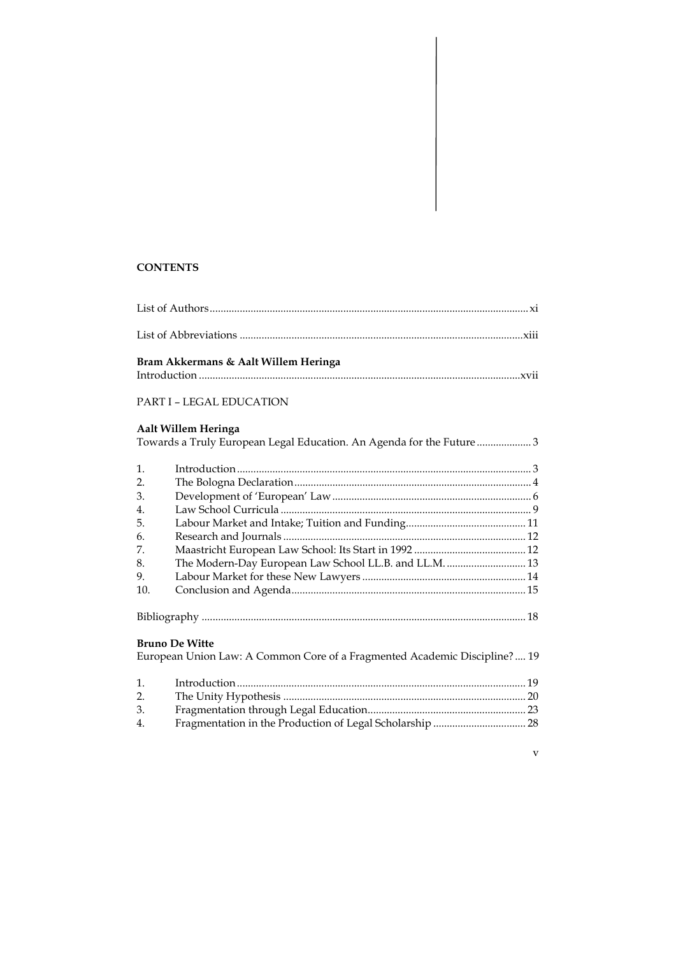# **CONTENTS**

|     | Bram Akkermans & Aalt Willem Heringa                                |  |
|-----|---------------------------------------------------------------------|--|
|     | <b>PART I - LEGAL EDUCATION</b>                                     |  |
|     | Aalt Willem Heringa                                                 |  |
|     | Towards a Truly European Legal Education. An Agenda for the Future3 |  |
| 1.  |                                                                     |  |
| 2.  |                                                                     |  |
| 3.  |                                                                     |  |
| 4.  |                                                                     |  |
| 5.  |                                                                     |  |
| 6.  |                                                                     |  |
| 7.  |                                                                     |  |
| 8.  | The Modern-Day European Law School LL.B. and LL.M.  13              |  |
| 9.  |                                                                     |  |
| 10. |                                                                     |  |
|     |                                                                     |  |

# **Bruno De Witte**

|    | European Union Law: A Common Core of a Fragmented Academic Discipline? 19 |  |
|----|---------------------------------------------------------------------------|--|
| 1. |                                                                           |  |
| 2. |                                                                           |  |
| 3. |                                                                           |  |

- 4. Fragmentation in the Production of Legal Scholarship .................................. 28
	- v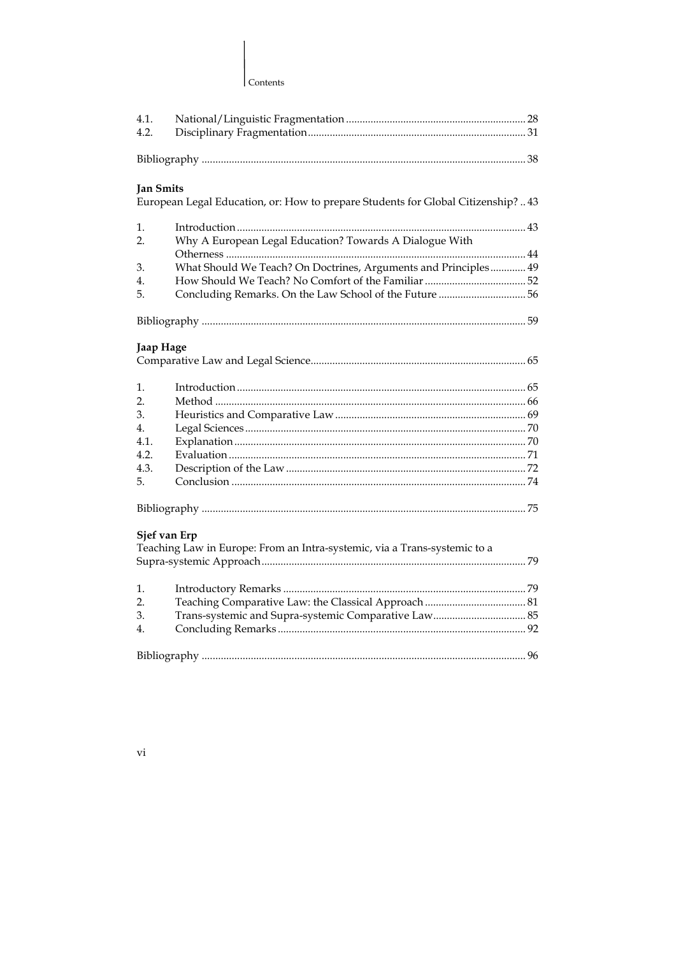### Contents

| 4.1.             |                                                                                   |  |
|------------------|-----------------------------------------------------------------------------------|--|
| 4.2.             |                                                                                   |  |
|                  |                                                                                   |  |
| <b>Jan Smits</b> |                                                                                   |  |
|                  | European Legal Education, or: How to prepare Students for Global Citizenship?  43 |  |
| 1.               |                                                                                   |  |
| $\overline{2}$ . | Why A European Legal Education? Towards A Dialogue With                           |  |
|                  |                                                                                   |  |
| 3.               | What Should We Teach? On Doctrines, Arguments and Principles 49                   |  |
| 4.               |                                                                                   |  |
| 5.               | Concluding Remarks. On the Law School of the Future 56                            |  |
|                  |                                                                                   |  |
| Jaap Hage        |                                                                                   |  |
|                  |                                                                                   |  |
| 1.               |                                                                                   |  |
| 2.               |                                                                                   |  |
| 3.               |                                                                                   |  |
| 4.               |                                                                                   |  |
| 4.1.             |                                                                                   |  |
| 4.2 <sub>1</sub> |                                                                                   |  |
| 4.3.             |                                                                                   |  |
| 5.               |                                                                                   |  |
|                  |                                                                                   |  |
|                  | Sjef van Erp                                                                      |  |
|                  | Teaching Law in Europe: From an Intra-systemic, via a Trans-systemic to a         |  |
|                  |                                                                                   |  |
| 1.               |                                                                                   |  |
| $\overline{2}$ . |                                                                                   |  |
| 3.               |                                                                                   |  |
| 4.               |                                                                                   |  |
|                  |                                                                                   |  |
|                  |                                                                                   |  |

 $_{\rm{vi}}$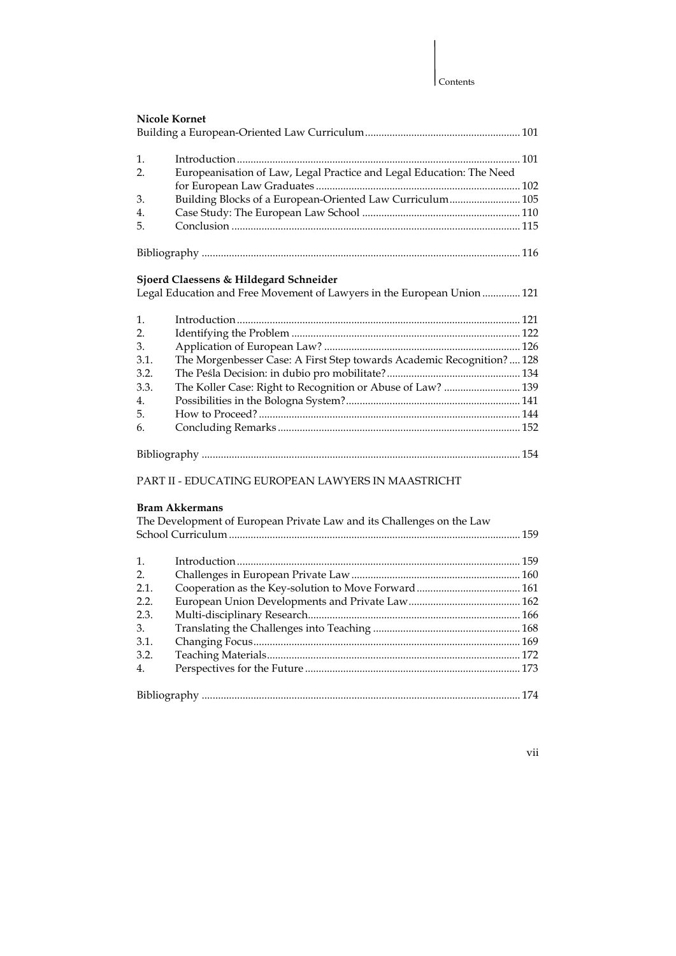| <b>Nicole Kornet</b> |                                                                         |  |
|----------------------|-------------------------------------------------------------------------|--|
| 1.                   |                                                                         |  |
| 2.                   | Europeanisation of Law, Legal Practice and Legal Education: The Need    |  |
|                      |                                                                         |  |
| 3.                   | Building Blocks of a European-Oriented Law Curriculum 105               |  |
| 4.                   |                                                                         |  |
| 5.                   |                                                                         |  |
|                      |                                                                         |  |
|                      |                                                                         |  |
|                      |                                                                         |  |
|                      | Sjoerd Claessens & Hildegard Schneider                                  |  |
|                      | Legal Education and Free Movement of Lawyers in the European Union  121 |  |
|                      |                                                                         |  |
| 1.                   |                                                                         |  |
| 2.                   |                                                                         |  |
| 3.<br>3.1.           |                                                                         |  |
| 3.2.                 | The Morgenbesser Case: A First Step towards Academic Recognition?  128  |  |
|                      |                                                                         |  |
| 3.3.                 | The Koller Case: Right to Recognition or Abuse of Law?  139             |  |
| 4.                   |                                                                         |  |
| 5.                   |                                                                         |  |
| 6.                   |                                                                         |  |
|                      |                                                                         |  |

# PART II - EDUCATING EUROPEAN LAWYERS IN MAASTRICHT

## **Bram Akkermans**

|                | The Development of European Private Law and its Challenges on the Law |  |
|----------------|-----------------------------------------------------------------------|--|
|                |                                                                       |  |
|                |                                                                       |  |
| $\mathbf{1}$ . |                                                                       |  |
| 2.             |                                                                       |  |
| 2.1.           |                                                                       |  |
| 2.2.           |                                                                       |  |
| 2.3.           |                                                                       |  |
| 3.             |                                                                       |  |
| 3.1.           |                                                                       |  |
| 3.2.           |                                                                       |  |
| 4.             |                                                                       |  |
|                |                                                                       |  |
|                |                                                                       |  |

vii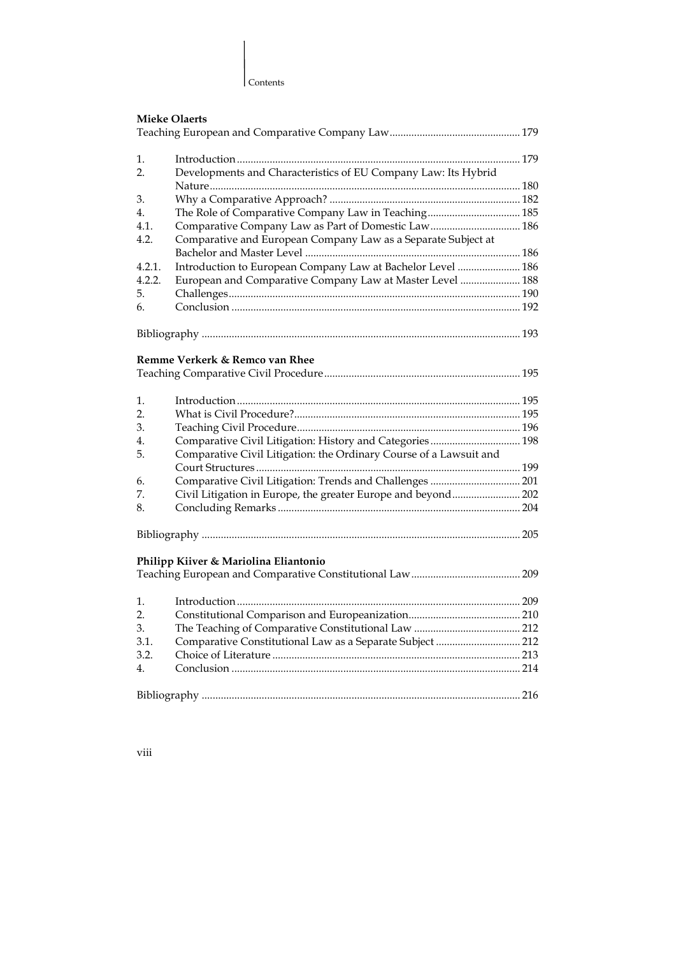

| 1.               |                                                                    |  |
|------------------|--------------------------------------------------------------------|--|
| $\overline{2}$ . | Developments and Characteristics of EU Company Law: Its Hybrid     |  |
|                  |                                                                    |  |
| 3.               |                                                                    |  |
| 4.               | The Role of Comparative Company Law in Teaching 185                |  |
| 4.1.             | Comparative Company Law as Part of Domestic Law 186                |  |
| 4.2.             | Comparative and European Company Law as a Separate Subject at      |  |
|                  |                                                                    |  |
| 4.2.1.           | Introduction to European Company Law at Bachelor Level  186        |  |
| 4.2.2.           | European and Comparative Company Law at Master Level  188          |  |
| 5.               |                                                                    |  |
| 6.               |                                                                    |  |
|                  |                                                                    |  |
|                  |                                                                    |  |
|                  | Remme Verkerk & Remco van Rhee                                     |  |
|                  |                                                                    |  |
|                  |                                                                    |  |
| 1.               |                                                                    |  |
| $\overline{2}$ . |                                                                    |  |
| 3.               |                                                                    |  |
| 4.               | Comparative Civil Litigation: History and Categories 198           |  |
| 5.               | Comparative Civil Litigation: the Ordinary Course of a Lawsuit and |  |
|                  |                                                                    |  |
| 6.               | Comparative Civil Litigation: Trends and Challenges  201           |  |
| 7.               | Civil Litigation in Europe, the greater Europe and beyond 202      |  |
| 8.               |                                                                    |  |
|                  |                                                                    |  |
|                  |                                                                    |  |
|                  | Philipp Kiiver & Mariolina Eliantonio                              |  |
|                  |                                                                    |  |
| 1.               |                                                                    |  |
| 2.               |                                                                    |  |
| 3.               |                                                                    |  |
| 3.1.             | Comparative Constitutional Law as a Separate Subject  212          |  |
| 3.2.             |                                                                    |  |
| 4.               |                                                                    |  |
|                  |                                                                    |  |
|                  |                                                                    |  |

viii